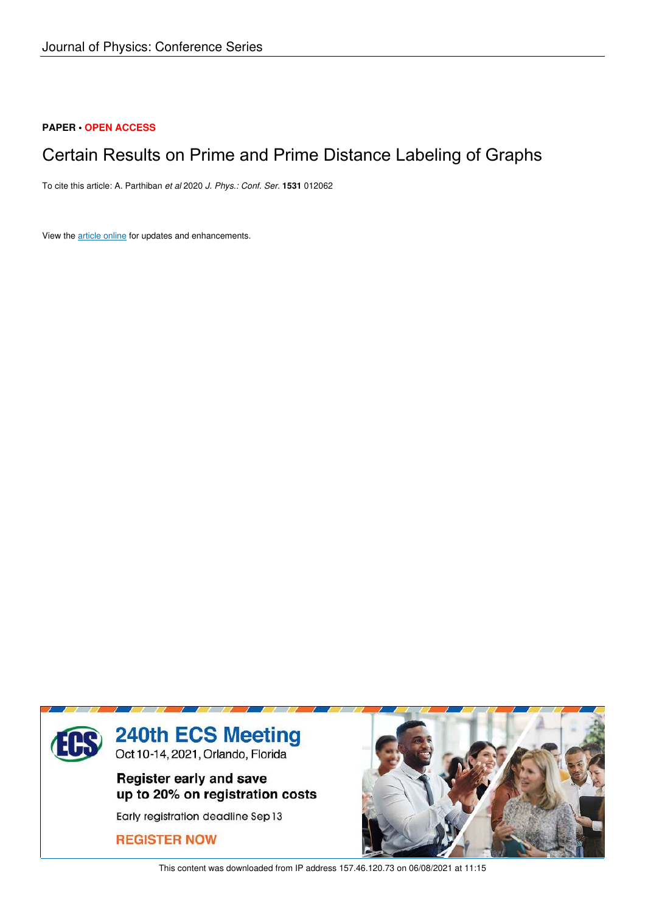### **PAPER • OPEN ACCESS**

## Certain Results on Prime and Prime Distance Labeling of Graphs

To cite this article: A. Parthiban *et al* 2020 *J. Phys.: Conf. Ser.* **1531** 012062

View the article online for updates and enhancements.



This content was downloaded from IP address 157.46.120.73 on 06/08/2021 at 11:15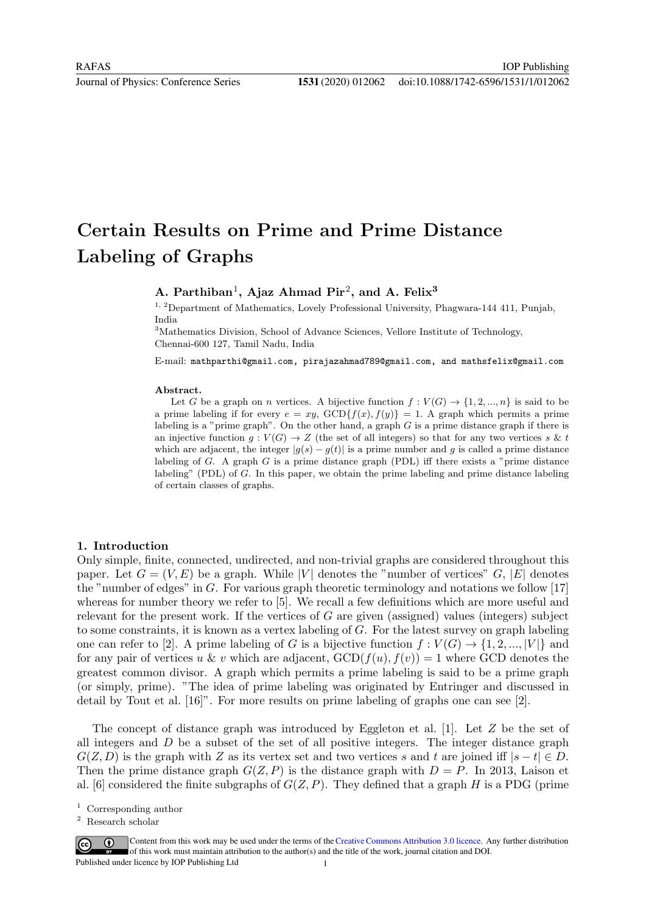# Certain Results on Prime and Prime Distance Labeling of Graphs

## A. Parthiban<sup>1</sup>, Ajaz Ahmad Pir<sup>2</sup>, and A. Felix<sup>3</sup>

<sup>1, 2</sup>Department of Mathematics, Lovely Professional University, Phagwara-144 411, Punjab, India

<sup>3</sup>Mathematics Division, School of Advance Sciences, Vellore Institute of Technology, Chennai-600 127, Tamil Nadu, India

E-mail: mathparthi@gmail.com, pirajazahmad789@gmail.com, and mathsfelix@gmail.com

#### Abstract.

Let G be a graph on n vertices. A bijective function  $f: V(G) \to \{1, 2, ..., n\}$  is said to be a prime labeling if for every  $e = xy$ ,  $GCD{f(x), f(y)} = 1$ . A graph which permits a prime labeling is a "prime graph". On the other hand, a graph  $G$  is a prime distance graph if there is an injective function  $q: V(G) \to Z$  (the set of all integers) so that for any two vertices s & t which are adjacent, the integer  $|g(s) - g(t)|$  is a prime number and g is called a prime distance labeling of  $G$ . A graph  $G$  is a prime distance graph (PDL) iff there exists a "prime distance labeling" (PDL) of G. In this paper, we obtain the prime labeling and prime distance labeling of certain classes of graphs.

#### 1. Introduction

Only simple, finite, connected, undirected, and non-trivial graphs are considered throughout this paper. Let  $G = (V, E)$  be a graph. While |V| denotes the "number of vertices" G, |E| denotes the "number of edges" in  $G$ . For various graph theoretic terminology and notations we follow [17] whereas for number theory we refer to [5]. We recall a few definitions which are more useful and relevant for the present work. If the vertices of  $G$  are given (assigned) values (integers) subject to some constraints, it is known as a vertex labeling of G. For the latest survey on graph labeling one can refer to [2]. A prime labeling of G is a bijective function  $f: V(G) \to \{1, 2, ..., |V|\}$  and for any pair of vertices u & v which are adjacent,  $GCD(f(u), f(v)) = 1$  where GCD denotes the greatest common divisor. A graph which permits a prime labeling is said to be a prime graph (or simply, prime). "The idea of prime labeling was originated by Entringer and discussed in detail by Tout et al. [16]". For more results on prime labeling of graphs one can see [2].

The concept of distance graph was introduced by Eggleton et al. [1]. Let  $Z$  be the set of all integers and  $D$  be a subset of the set of all positive integers. The integer distance graph  $G(Z, D)$  is the graph with Z as its vertex set and two vertices s and t are joined iff  $|s-t| \in D$ . Then the prime distance graph  $G(Z, P)$  is the distance graph with  $D = P$ . In 2013, Laison et al. [6] considered the finite subgraphs of  $G(Z, P)$ . They defined that a graph H is a PDG (prime

<sup>2</sup> Research scholar



Content from this work may be used under the terms of the Creative Commons Attribution 3.0 licence. Any further distribution of this work must maintain attribution to the author(s) and the title of the work, journal citation and DOI. Published under licence by IOP Publishing Ltd

<sup>1</sup> Corresponding author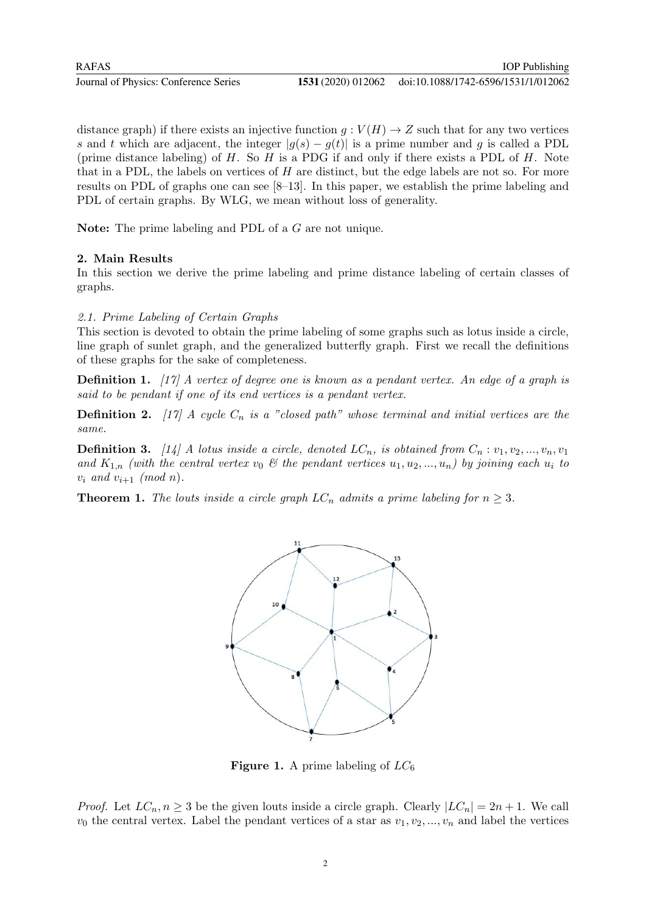RAFAS

Journal of Physics: Conference Series **1531** (2020) 012062

distance graph) if there exists an injective function  $q: V(H) \to Z$  such that for any two vertices s and t which are adjacent, the integer  $|g(s) - g(t)|$  is a prime number and g is called a PDL (prime distance labeling) of  $H$ . So  $H$  is a PDG if and only if there exists a PDL of  $H$ . Note that in a PDL, the labels on vertices of  $H$  are distinct, but the edge labels are not so. For more results on PDL of graphs one can see [8–13]. In this paper, we establish the prime labeling and PDL of certain graphs. By WLG, we mean without loss of generality.

Note: The prime labeling and PDL of a G are not unique.

#### 2. Main Results

In this section we derive the prime labeling and prime distance labeling of certain classes of graphs.

#### 2.1. Prime Labeling of Certain Graphs

This section is devoted to obtain the prime labeling of some graphs such as lotus inside a circle, line graph of sunlet graph, and the generalized butterfly graph. First we recall the definitions of these graphs for the sake of completeness.

**Definition 1.** [17] A vertex of degree one is known as a pendant vertex. An edge of a graph is said to be pendant if one of its end vertices is a pendant vertex.

**Definition 2.** [17] A cycle  $C_n$  is a "closed path" whose terminal and initial vertices are the same.

**Definition 3.** [14] A lotus inside a circle, denoted  $LC_n$ , is obtained from  $C_n : v_1, v_2, ..., v_n, v_1$ and  $K_{1,n}$  (with the central vertex  $v_0 \&$  the pendant vertices  $u_1, u_2, ..., u_n$ ) by joining each  $u_i$  to  $v_i$  and  $v_{i+1}$  (mod n).

**Theorem 1.** The louts inside a circle graph  $LC_n$  admits a prime labeling for  $n \geq 3$ .



**Figure 1.** A prime labeling of  $LC_6$ 

*Proof.* Let  $LC_n, n \geq 3$  be the given louts inside a circle graph. Clearly  $|LC_n| = 2n + 1$ . We call  $v_0$  the central vertex. Label the pendant vertices of a star as  $v_1, v_2, ..., v_n$  and label the vertices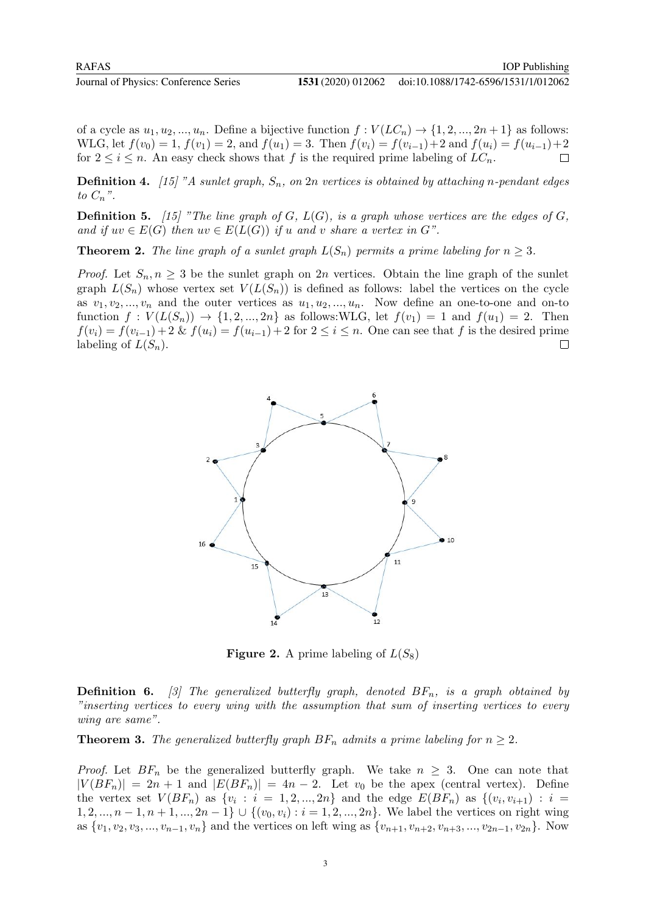of a cycle as  $u_1, u_2, ..., u_n$ . Define a bijective function  $f: V(LC_n) \to \{1, 2, ..., 2n+1\}$  as follows: WLG, let  $f(v_0) = 1$ ,  $f(v_1) = 2$ , and  $f(u_1) = 3$ . Then  $f(v_i) = f(v_{i-1}) + 2$  and  $f(u_i) = f(u_{i-1}) + 2$ for  $2 \leq i \leq n$ . An easy check shows that f is the required prime labeling of  $LC_n$ .  $\Box$ 

**Definition 4.** [15] "A sunlet graph,  $S_n$ , on 2n vertices is obtained by attaching n-pendant edges to  $C_n$ ".

**Definition 5.** [15] "The line graph of G,  $L(G)$ , is a graph whose vertices are the edges of G, and if  $uv \in E(G)$  then  $uv \in E(L(G))$  if u and v share a vertex in G".

**Theorem 2.** The line graph of a sunlet graph  $L(S_n)$  permits a prime labeling for  $n \geq 3$ .

*Proof.* Let  $S_n, n \geq 3$  be the sunlet graph on 2n vertices. Obtain the line graph of the sunlet graph  $L(S_n)$  whose vertex set  $V(L(S_n))$  is defined as follows: label the vertices on the cycle as  $v_1, v_2, ..., v_n$  and the outer vertices as  $u_1, u_2, ..., u_n$ . Now define an one-to-one and on-to function  $f: V(L(S_n)) \to \{1, 2, ..., 2n\}$  as follows:WLG, let  $f(v_1) = 1$  and  $f(u_1) = 2$ . Then  $f(v_i) = f(v_{i-1}) + 2 \& f(u_i) = f(u_{i-1}) + 2$  for  $2 \leq i \leq n$ . One can see that f is the desired prime labeling of  $L(S_n)$ .  $\Box$ 



**Figure 2.** A prime labeling of  $L(S_8)$ 

**Definition 6.** [3] The generalized butterfly graph, denoted  $BF_n$ , is a graph obtained by "inserting vertices to every wing with the assumption that sum of inserting vertices to every wing are same".

**Theorem 3.** The generalized butterfly graph  $BF_n$  admits a prime labeling for  $n \geq 2$ .

*Proof.* Let  $BF_n$  be the generalized butterfly graph. We take  $n \geq 3$ . One can note that  $|V(BF_n)| = 2n + 1$  and  $|E(BF_n)| = 4n - 2$ . Let  $v_0$  be the apex (central vertex). Define the vertex set  $V(BF_n)$  as  $\{v_i : i = 1, 2, ..., 2n\}$  and the edge  $E(BF_n)$  as  $\{(v_i, v_{i+1}) : i =$ 1, 2, ...,  $n-1, n+1, ..., 2n-1$   $\cup$   $\{(v_0, v_i) : i = 1, 2, ..., 2n\}$ . We label the vertices on right wing as  $\{v_1, v_2, v_3, ..., v_{n-1}, v_n\}$  and the vertices on left wing as  $\{v_{n+1}, v_{n+2}, v_{n+3}, ..., v_{2n-1}, v_{2n}\}$ . Now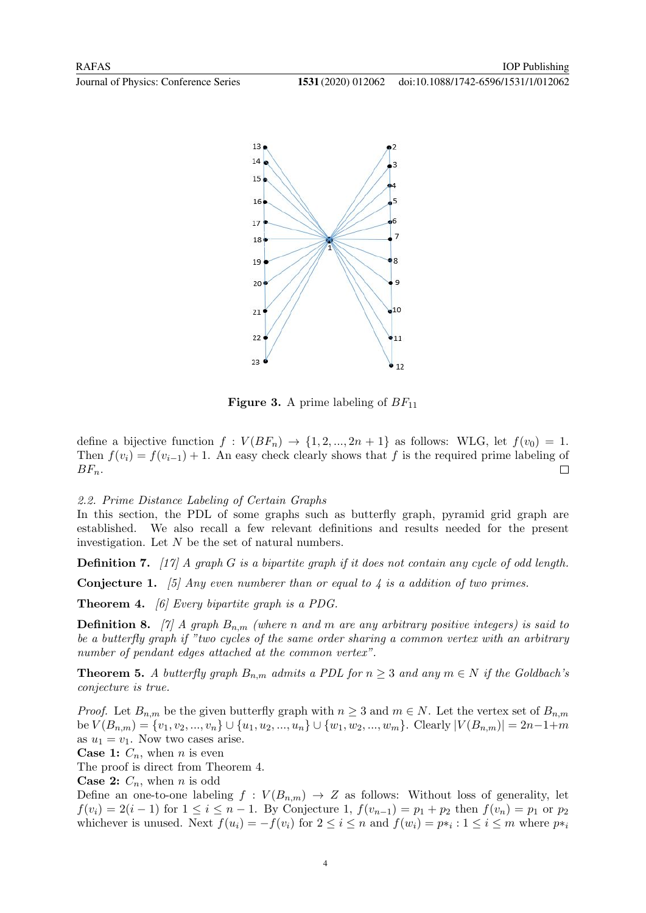



**Figure 3.** A prime labeling of  $BF_{11}$ 

define a bijective function  $f: V(BF_n) \to \{1, 2, ..., 2n+1\}$  as follows: WLG, let  $f(v_0) = 1$ . Then  $f(v_i) = f(v_{i-1}) + 1$ . An easy check clearly shows that f is the required prime labeling of  $BF_n$ .  $\Box$ 

2.2. Prime Distance Labeling of Certain Graphs

In this section, the PDL of some graphs such as butterfly graph, pyramid grid graph are established. We also recall a few relevant definitions and results needed for the present investigation. Let N be the set of natural numbers.

**Definition 7.** [17] A graph G is a bipartite graph if it does not contain any cycle of odd length.

**Conjecture 1.** [5] Any even numberer than or equal to 4 is a addition of two primes.

**Theorem 4.** [6] Every bipartite graph is a PDG.

**Definition 8.** [7] A graph  $B_{n,m}$  (where n and m are any arbitrary positive integers) is said to be a butterfly graph if "two cycles of the same order sharing a common vertex with an arbitrary number of pendant edges attached at the common vertex".

**Theorem 5.** A butterfly graph  $B_{n,m}$  admits a PDL for  $n \geq 3$  and any  $m \in N$  if the Goldbach's conjecture is true.

*Proof.* Let  $B_{n,m}$  be the given butterfly graph with  $n \geq 3$  and  $m \in N$ . Let the vertex set of  $B_{n,m}$ be  $V(B_{n,m}) = \{v_1, v_2, ..., v_n\} \cup \{u_1, u_2, ..., u_n\} \cup \{w_1, w_2, ..., w_m\}$ . Clearly  $|V(B_{n,m})| = 2n-1+m$ as  $u_1 = v_1$ . Now two cases arise.

**Case 1:**  $C_n$ , when *n* is even

The proof is direct from Theorem 4.

**Case 2:**  $C_n$ , when *n* is odd

Define an one-to-one labeling  $f: V(B_{n,m}) \to Z$  as follows: Without loss of generality, let  $f(v_i) = 2(i-1)$  for  $1 \leq i \leq n-1$ . By Conjecture 1,  $f(v_{n-1}) = p_1 + p_2$  then  $f(v_n) = p_1$  or  $p_2$ whichever is unused. Next  $f(u_i) = -f(v_i)$  for  $2 \le i \le n$  and  $f(w_i) = p*_i : 1 \le i \le m$  where  $p*_i$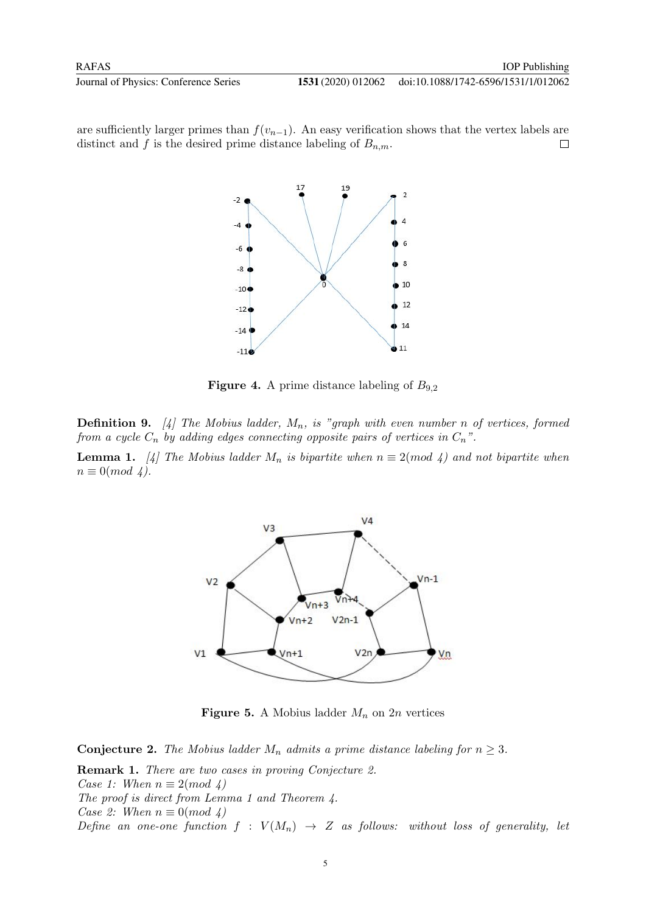are sufficiently larger primes than  $f(v_{n-1})$ . An easy verification shows that the vertex labels are distinct and f is the desired prime distance labeling of  $B_{n,m}$ .  $\Box$ 



**Figure 4.** A prime distance labeling of  $B_{9,2}$ 

**Definition 9.** [4] The Mobius ladder,  $M_n$ , is "graph with even number n of vertices, formed from a cycle  $C_n$  by adding edges connecting opposite pairs of vertices in  $C_n$ ".

**Lemma 1.** [4] The Mobius ladder  $M_n$  is bipartite when  $n \equiv 2 \pmod{4}$  and not bipartite when  $n \equiv 0 \pmod{4}$ .



**Figure 5.** A Mobius ladder  $M_n$  on 2n vertices

**Conjecture 2.** The Mobius ladder  $M_n$  admits a prime distance labeling for  $n \geq 3$ .

Remark 1. There are two cases in proving Conjecture 2. Case 1: When  $n \equiv 2 \pmod{4}$ The proof is direct from Lemma 1 and Theorem 4. Case 2: When  $n \equiv 0 \pmod{4}$ Define an one-one function  $f : V(M_n) \to Z$  as follows: without loss of generality, let